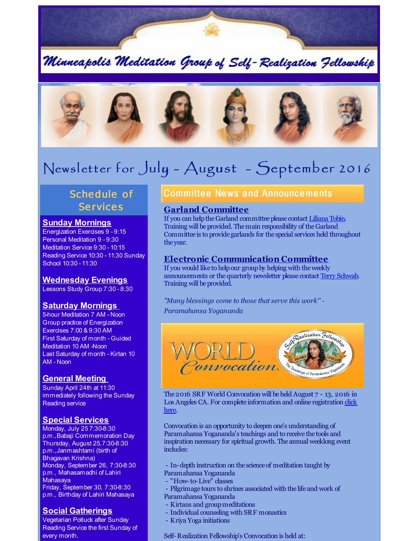

Minneapolis Meditation Group of Self-Realization Fellowship



# Newsl etter for July - August - September 2016

# Schedule of **Services**

#### **Sunday Mornings**

Energization Exercises 9 - 9:15 Personal Meditation 9 - 9:30 Meditation Service 9:30 - 10:15 Reading Service 10:30 - 11:30 Sunday School 10:30 - 11:30

#### **Wednesday Evenings**

Lessons Study Group 7:30 - 8:30

## **Saturday Mornings**

5-hour Meditation 7 AM - Noon Group practice of Energization Exercises 7:00 & 9:30 AM First Saturday of month - Guided Meditation 10 AM -Noon Last Saturday of month - Kirtan 10 AM - Noon

## **General Meeting**

Sunday April 24th at 11:30 immediately following the Sunday Reading service

#### **Special Services**

Monday, July 25 7:30-8:30 p.m.,Babaji Commemoration Day Thursday, August 25,7:30-8:30 p.m.,Janmashtami (birth of Bhagavan Krishna) Monday, September 26, 7:30-8:30 p.m., Mahasamadhi of Lahiri Mahasaya Friday, September 30, 7:30-8:30 p.m., Birthday of Lahiri Mahasaya

## **Social Gatherings**

Vegetarian Potluck after Sunday Reading Service the first Sunday of every month.

## **Committee News and Announcements**

#### **Garland Committee**

If you can help the Garland committee please contact [Liliana](mailto:tobo0008@umn.edu) Tobin. Training will be provided. The main responsibility of the Garland Committee is to provide garlands for the special services held throughout the year.

## **Electronic Communication Committee**

If you would like to help our group by helping with the weekly announcements or thequarterly newsletter please contact Terry [Schwab](mailto:terry@schwabreg.com). Training will be provided.

*"Many blessings come to those that serve this work'' - Paramahansa Yogananda*



The2016 SRF World Convocation will beheld August 7 - 13, 2016 in Los Angeles CA. For complete [information](http://r20.rs6.net/tn.jsp?f=00115DNbWwDgI7ydrxBf1mVnNLDDoM1xABzeUKgr6yTDfE1fw1Y-9gHlJO6rI1-PnaseG6n-WsUZ4BBU9nSW5Hy52U8Gm0epX0LkO-t7GLWBHJk43z-llhMBhfr00EvJ8isxJenGa3T1T_DoKtRbJyMWCfvtGHBKz1lfpPbkrUi4S-no2z-IbvQHGf1V81a-LFWEFpxyjpFhs6oSyFFvwLigrtzq4Mq_BD4AGvO5lwp4LU=&c=&ch=) and online registration click here.

Convocation is an opportunity to deepen one's understanding of Paramahansa Yogananda's teachings and to receive the tools and inspiration necessary for spiritual growth. The annual weeklong event includes:

- In-depth instruction on the science of meditation taught by Paramahansa Yogananda

- "How-to-Live" classes
- Pilgrimage tours to shrines associated with the life and work of Paramahansa Yogananda
- Kirtans and group meditations
- Individual counseling with SRF monastics
- Kriya Yoga initiations

Self-Realization Fellowship's Convocation is held at: